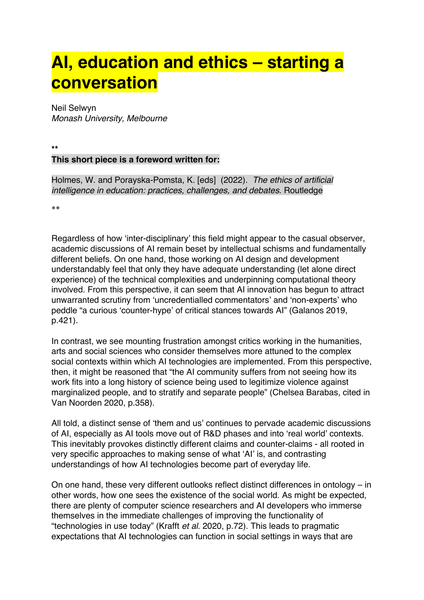# **AI, education and ethics – starting a conversation**

Neil Selwyn *Monash University, Melbourne*

**\*\***

# **This short piece is a foreword written for:**

Holmes, W. and Porayska-Pomsta, K. [eds] (2022). *The ethics of artificial intelligence in education: practices, challenges, and debates*. Routledge

\*\*

Regardless of how 'inter-disciplinary' this field might appear to the casual observer, academic discussions of AI remain beset by intellectual schisms and fundamentally different beliefs. On one hand, those working on AI design and development understandably feel that only they have adequate understanding (let alone direct experience) of the technical complexities and underpinning computational theory involved. From this perspective, it can seem that AI innovation has begun to attract unwarranted scrutiny from 'uncredentialled commentators' and 'non-experts' who peddle "a curious 'counter-hype' of critical stances towards AI" (Galanos 2019, p.421).

In contrast, we see mounting frustration amongst critics working in the humanities, arts and social sciences who consider themselves more attuned to the complex social contexts within which AI technologies are implemented. From this perspective, then, it might be reasoned that "the AI community suffers from not seeing how its work fits into a long history of science being used to legitimize violence against marginalized people, and to stratify and separate people" (Chelsea Barabas, cited in Van Noorden 2020, p.358).

All told, a distinct sense of 'them and us' continues to pervade academic discussions of AI, especially as AI tools move out of R&D phases and into 'real world' contexts. This inevitably provokes distinctly different claims and counter-claims - all rooted in very specific approaches to making sense of what 'AI' is, and contrasting understandings of how AI technologies become part of everyday life.

On one hand, these very different outlooks reflect distinct differences in ontology – in other words, how one sees the existence of the social world. As might be expected, there are plenty of computer science researchers and AI developers who immerse themselves in the immediate challenges of improving the functionality of "technologies in use today" (Krafft *et al*. 2020, p.72). This leads to pragmatic expectations that AI technologies can function in social settings in ways that are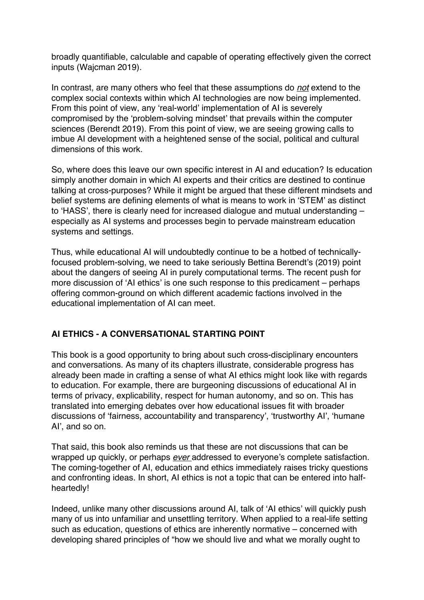broadly quantifiable, calculable and capable of operating effectively given the correct inputs (Wajcman 2019).

In contrast, are many others who feel that these assumptions do *not* extend to the complex social contexts within which AI technologies are now being implemented. From this point of view, any 'real-world' implementation of AI is severely compromised by the 'problem-solving mindset' that prevails within the computer sciences (Berendt 2019). From this point of view, we are seeing growing calls to imbue AI development with a heightened sense of the social, political and cultural dimensions of this work.

So, where does this leave our own specific interest in AI and education? Is education simply another domain in which AI experts and their critics are destined to continue talking at cross-purposes? While it might be argued that these different mindsets and belief systems are defining elements of what is means to work in 'STEM' as distinct to 'HASS', there is clearly need for increased dialogue and mutual understanding – especially as AI systems and processes begin to pervade mainstream education systems and settings.

Thus, while educational AI will undoubtedly continue to be a hotbed of technicallyfocused problem-solving, we need to take seriously Bettina Berendt's (2019) point about the dangers of seeing AI in purely computational terms. The recent push for more discussion of 'AI ethics' is one such response to this predicament – perhaps offering common-ground on which different academic factions involved in the educational implementation of AI can meet.

# **AI ETHICS - A CONVERSATIONAL STARTING POINT**

This book is a good opportunity to bring about such cross-disciplinary encounters and conversations. As many of its chapters illustrate, considerable progress has already been made in crafting a sense of what AI ethics might look like with regards to education. For example, there are burgeoning discussions of educational AI in terms of privacy, explicability, respect for human autonomy, and so on. This has translated into emerging debates over how educational issues fit with broader discussions of 'fairness, accountability and transparency', 'trustworthy AI', 'humane AI', and so on.

That said, this book also reminds us that these are not discussions that can be wrapped up quickly, or perhaps *ever* addressed to everyone's complete satisfaction. The coming-together of AI, education and ethics immediately raises tricky questions and confronting ideas. In short, AI ethics is not a topic that can be entered into halfheartedly!

Indeed, unlike many other discussions around AI, talk of 'AI ethics' will quickly push many of us into unfamiliar and unsettling territory. When applied to a real-life setting such as education, questions of ethics are inherently normative – concerned with developing shared principles of "how we should live and what we morally ought to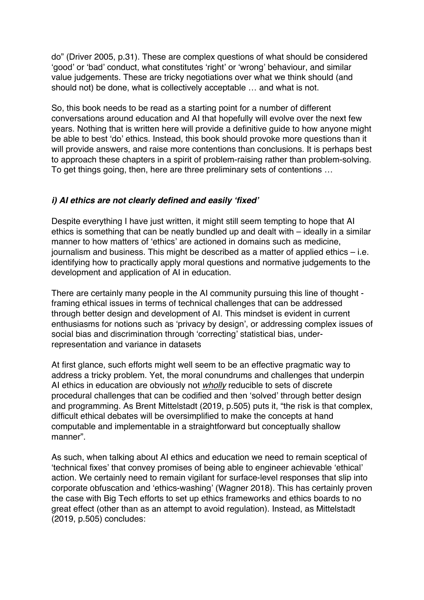do" (Driver 2005, p.31). These are complex questions of what should be considered 'good' or 'bad' conduct, what constitutes 'right' or 'wrong' behaviour, and similar value judgements. These are tricky negotiations over what we think should (and should not) be done, what is collectively acceptable … and what is not.

So, this book needs to be read as a starting point for a number of different conversations around education and AI that hopefully will evolve over the next few years. Nothing that is written here will provide a definitive guide to how anyone might be able to best 'do' ethics. Instead, this book should provoke more questions than it will provide answers, and raise more contentions than conclusions. It is perhaps best to approach these chapters in a spirit of problem-raising rather than problem-solving. To get things going, then, here are three preliminary sets of contentions …

#### *i) AI ethics are not clearly defined and easily 'fixed'*

Despite everything I have just written, it might still seem tempting to hope that AI ethics is something that can be neatly bundled up and dealt with – ideally in a similar manner to how matters of 'ethics' are actioned in domains such as medicine, journalism and business. This might be described as a matter of applied ethics – i.e. identifying how to practically apply moral questions and normative judgements to the development and application of AI in education.

There are certainly many people in the AI community pursuing this line of thought framing ethical issues in terms of technical challenges that can be addressed through better design and development of AI. This mindset is evident in current enthusiasms for notions such as 'privacy by design', or addressing complex issues of social bias and discrimination through 'correcting' statistical bias, underrepresentation and variance in datasets

At first glance, such efforts might well seem to be an effective pragmatic way to address a tricky problem. Yet, the moral conundrums and challenges that underpin AI ethics in education are obviously not *wholly* reducible to sets of discrete procedural challenges that can be codified and then 'solved' through better design and programming. As Brent Mittelstadt (2019, p.505) puts it, "the risk is that complex, difficult ethical debates will be oversimplified to make the concepts at hand computable and implementable in a straightforward but conceptually shallow manner".

As such, when talking about AI ethics and education we need to remain sceptical of 'technical fixes' that convey promises of being able to engineer achievable 'ethical' action. We certainly need to remain vigilant for surface-level responses that slip into corporate obfuscation and 'ethics-washing' (Wagner 2018). This has certainly proven the case with Big Tech efforts to set up ethics frameworks and ethics boards to no great effect (other than as an attempt to avoid regulation). Instead, as Mittelstadt (2019, p.505) concludes: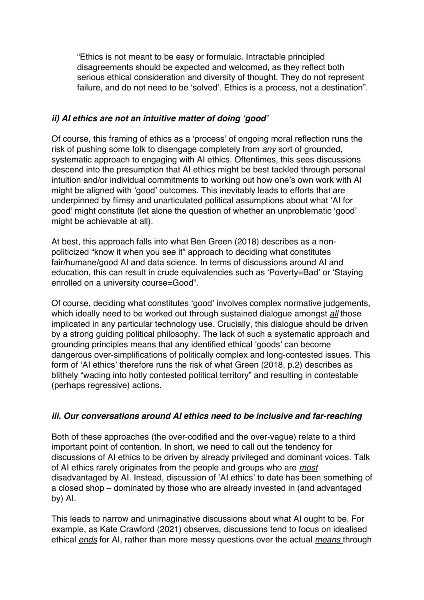"Ethics is not meant to be easy or formulaic. Intractable principled disagreements should be expected and welcomed, as they reflect both serious ethical consideration and diversity of thought. They do not represent failure, and do not need to be 'solved'. Ethics is a process, not a destination".

#### *ii) AI ethics are not an intuitive matter of doing 'good'*

Of course, this framing of ethics as a 'process' of ongoing moral reflection runs the risk of pushing some folk to disengage completely from *any* sort of grounded, systematic approach to engaging with AI ethics. Oftentimes, this sees discussions descend into the presumption that AI ethics might be best tackled through personal intuition and/or individual commitments to working out how one's own work with AI might be aligned with 'good' outcomes. This inevitably leads to efforts that are underpinned by flimsy and unarticulated political assumptions about what 'AI for good' might constitute (let alone the question of whether an unproblematic 'good' might be achievable at all).

At best, this approach falls into what Ben Green (2018) describes as a nonpoliticized "know it when you see it" approach to deciding what constitutes fair/humane/good AI and data science. In terms of discussions around AI and education, this can result in crude equivalencies such as 'Poverty=Bad' or 'Staying enrolled on a university course=Good".

Of course, deciding what constitutes 'good' involves complex normative judgements, which ideally need to be worked out through sustained dialogue amongst *all* those implicated in any particular technology use. Crucially, this dialogue should be driven by a strong guiding political philosophy. The lack of such a systematic approach and grounding principles means that any identified ethical 'goods' can become dangerous over-simplifications of politically complex and long-contested issues. This form of 'AI ethics' therefore runs the risk of what Green (2018, p.2) describes as blithely "wading into hotly contested political territory" and resulting in contestable (perhaps regressive) actions.

# *iii. Our conversations around AI ethics need to be inclusive and far-reaching*

Both of these approaches (the over-codified and the over-vague) relate to a third important point of contention. In short, we need to call out the tendency for discussions of AI ethics to be driven by already privileged and dominant voices. Talk of AI ethics rarely originates from the people and groups who are *most*  disadvantaged by AI. Instead, discussion of 'AI ethics' to date has been something of a closed shop – dominated by those who are already invested in (and advantaged by) AI.

This leads to narrow and unimaginative discussions about what AI ought to be. For example, as Kate Crawford (2021) observes, discussions tend to focus on idealised ethical *ends* for AI, rather than more messy questions over the actual *means* through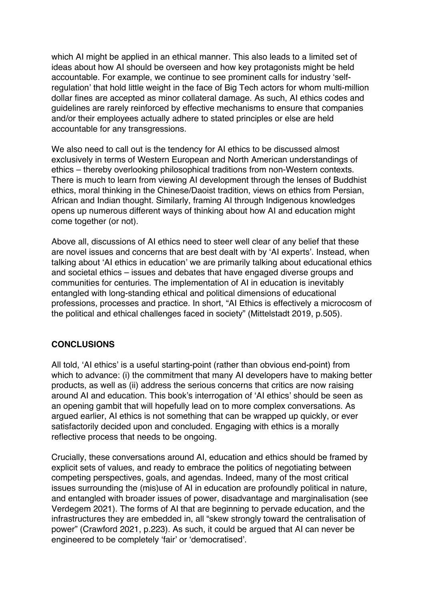which AI might be applied in an ethical manner. This also leads to a limited set of ideas about how AI should be overseen and how key protagonists might be held accountable. For example, we continue to see prominent calls for industry 'selfregulation' that hold little weight in the face of Big Tech actors for whom multi-million dollar fines are accepted as minor collateral damage. As such, AI ethics codes and guidelines are rarely reinforced by effective mechanisms to ensure that companies and/or their employees actually adhere to stated principles or else are held accountable for any transgressions.

We also need to call out is the tendency for AI ethics to be discussed almost exclusively in terms of Western European and North American understandings of ethics – thereby overlooking philosophical traditions from non-Western contexts. There is much to learn from viewing AI development through the lenses of Buddhist ethics, moral thinking in the Chinese/Daoist tradition, views on ethics from Persian, African and Indian thought. Similarly, framing AI through Indigenous knowledges opens up numerous different ways of thinking about how AI and education might come together (or not).

Above all, discussions of AI ethics need to steer well clear of any belief that these are novel issues and concerns that are best dealt with by 'AI experts'. Instead, when talking about 'AI ethics in education' we are primarily talking about educational ethics and societal ethics – issues and debates that have engaged diverse groups and communities for centuries. The implementation of AI in education is inevitably entangled with long-standing ethical and political dimensions of educational professions, processes and practice. In short, "AI Ethics is effectively a microcosm of the political and ethical challenges faced in society" (Mittelstadt 2019, p.505).

# **CONCLUSIONS**

All told, 'AI ethics' is a useful starting-point (rather than obvious end-point) from which to advance: (i) the commitment that many AI developers have to making better products, as well as (ii) address the serious concerns that critics are now raising around AI and education. This book's interrogation of 'AI ethics' should be seen as an opening gambit that will hopefully lead on to more complex conversations. As argued earlier, AI ethics is not something that can be wrapped up quickly, or ever satisfactorily decided upon and concluded. Engaging with ethics is a morally reflective process that needs to be ongoing.

Crucially, these conversations around AI, education and ethics should be framed by explicit sets of values, and ready to embrace the politics of negotiating between competing perspectives, goals, and agendas. Indeed, many of the most critical issues surrounding the (mis)use of AI in education are profoundly political in nature, and entangled with broader issues of power, disadvantage and marginalisation (see Verdegem 2021). The forms of AI that are beginning to pervade education, and the infrastructures they are embedded in, all "skew strongly toward the centralisation of power" (Crawford 2021, p.223). As such, it could be argued that AI can never be engineered to be completely 'fair' or 'democratised'.